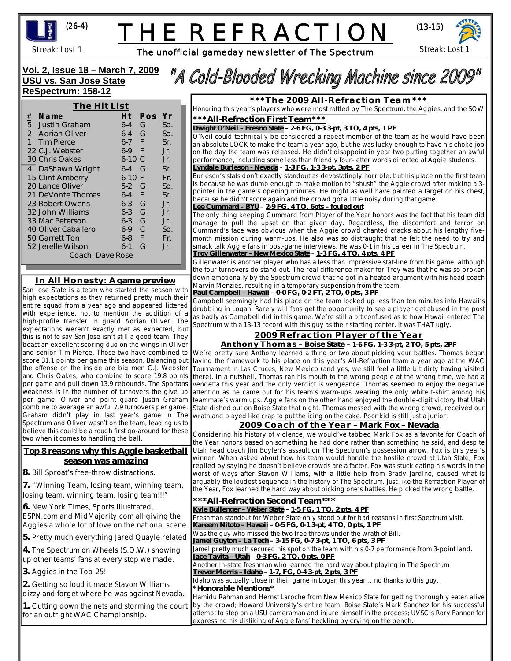

# THE REFRACTIOI



Streak: Lost 1

The unofficial gameday newsletter of The Spectrum

Streak: Lost 1

l

### **Vol. 2, Issue 18 – March 7, 2009 USU vs. San Jose State ReSpectrum: 158-12**

| The Hit List                      |         |     |                 |
|-----------------------------------|---------|-----|-----------------|
| $\frac{\#}{5}$<br>Name            | Ht      | Pos | <u>Yr</u>       |
| <b>Justin Graham</b>              | $6 - 4$ | G   | SO <sub>2</sub> |
| $\mathfrak{D}$<br>- Adrian Oliver | $6 - 4$ | G   | SO <sub>n</sub> |
| $\mathbf{1}$<br><b>Tim Pierce</b> | $6-7$ F |     | Sr.             |
| 22 C.J. Webster                   | $6-9$   | F   | Jr.             |
| 30 Chris Oakes                    | 6-10 C  |     | Jr.             |
| 4 DaShawn Wright                  | $6 - 4$ | G   | Sr.             |
| 15 Clint Amberry                  | $6-10$  | F   | Fr.             |
| 20 Lance Oliver                   | $5-2$   | G   | So.             |
| 21 DeVonte Thomas                 | 6-4     | F   | Sr.             |
| 23 Robert Owens                   | $6 - 3$ | G   | Jr.             |
| 32 John Williams                  | $6 - 3$ | G   | Jr.             |
| 33 Mac Peterson                   | 6-3     | G   | Jr.             |
| 40 Oliver Caballero               | $6-9$   | C   | So.             |
| 50 Garrett Ton                    | $6 - 8$ | F   | Fr.             |
| 52 Jerelle Wilson                 | $6-1$   | G   | Jr.             |
| Coach: Dave Rose                  |         |     |                 |

## **In All Honesty: A game preview**

San Jose State is a team who started the season with high expectations as they returned pretty much their entire squad from a year ago and appeared littered with experience, not to mention the addition of a high-profile transfer in guard Adrian Oliver. The expectations weren't exactly met as expected, but this is not to say San Jose isn't still a good team. They boast an excellent scoring duo on the wings in Oliver and senior Tim Pierce. Those two have combined to score 31.1 points per game this season. Balancing out per game and pull down 13.9 rebounds. The Spartans weakness is in the number of turnovers the give up per game. Oliver and point guard Justin Graham combine to average an awful 7.9 turnovers per game. Spectrum and Oliver wasn't on the team, leading us to believe this could be a rough first go-around for these two when it comes to handling the ball.

#### **Top 8 reasons why this Aggie basketball season was amazing**

**8.** Bill Sproat's free-throw distractions.

**7.** "Winning Team, losing team, winning team, losing team, winning team, losing team!!!"

**6.** New York Times, Sports Illustrated, ESPN.com and MidMajority.com all giving Aggies a whole lot of love on the national s

**5.** Pretty much everything Jared Quayle relate

4. The Spectrum on Wheels (S.O.W.) show up other teams' fans at every stop we made.

**3.** Aggies in the Top-25!

**2.** Getting so loud it made Stavon Williams dizzy and forget where he was against Nev

1. Cutting down the nets and storming the for an outright WAC Championship.

# "A Cold-Blooded Wrecking Machine since 2009"

**\*\*\*The 2009 All-Refraction Team\*\*\***

Honoring this year's players who were most rattled by The Spectrum, the Aggies, and the SOW **\*\*\*All-Refraction First Team\*\*\***

*Dwight O'Neil – Fresno State* **– 2-6 FG, 0-3 3-pt, 3 TO, 4 pts, 1 PF**

O'Neil could technically be considered a repeat member of the team as he would have been an absolute LOCK to make the team a year ago, but he was lucky enough to have his choke job on the day the team was released. He didn't disappoint in year two putting together an awful performance, including some less than friendly four-letter words directed at Aggie students. *Lyndale Burleson - Nevada –* **1-3 FG, 1-3 3-pt, 3pts, 2 PF**

Burleson's stats don't exactly standout as devastatingly horrible, but his place on the first team is because he was dumb enough to make motion to "shush" the Aggie crowd after making a 3 pointer in the game's opening minutes. He might as well have painted a target on his chest, because he didn't score again and the crowd got a little noisy during that game. *Lee Cummard – BYU* – **2-9 FG, 4 TO, 6pts – fouled out**

The only thing keeping Cummard from Player of the Year honors was the fact that his team did manage to pull the upset on that given day. Regardless, the discomfort and terror on Cummard's face was obvious when the Aggie crowd chanted cracks about his lengthy fivemonth mission during warm-ups. He also was so distraught that he felt the need to try and smack talk Aggie fans in post-game interviews. He was 0-1 in his career in The Spectrum. *Troy Gillenwater – New Mexico State –* **1-3 FG, 4 TO, 4 pts, 4 PF**

Gillenwater is another player who has a less than impressive stat-line from his game, although the four turnovers do stand out. The real difference maker for Troy was that he was so broken down emotionally by the Spectrum crowd that he got in a heated argument with his head coach Marvin Menzies, resulting in a temporary suspension from the team. *Paul Campbell – Hawaii* **– 0-0 FG, 0-2 FT, 2 TO, 0 pts, 3 PF**

Campbell seemingly had his place on the team locked up less than ten minutes into Hawaii's drubbing in Logan. Rarely will fans get the opportunity to see a player get abused in the post as badly as Campbell did in this game. We're still a bit confused as to how Hawaii entered The Spectrum with a 13-13 record with this guy as their starting center. It was THAT ugly.

### **2009 Refraction Player of the Year**

#### **Anthony Thomas – Boise State – 1-6 FG, 1-3 3-pt, 2 TO, 5 pts, 2PF**

the offense on the inside are big men C.J. Webster Tournament in Las Cruces, New Mexico (and yes, we still feel a little bit dirty having visited and Chris Oakes, who combine to score 19.8 points there). In a nutshell, Thomas ran his mouth to the wrong people at the wrong time, we had a Graham didn't play in last year's game in The wrath and played like crap to put the icing on the cake. Poor kid is still just a junior. We're pretty sure Anthony learned a thing or two about picking your battles. Thomas began laying the framework to his place on this year's All-Refraction team a year ago at the WAC vendetta this year and the only verdict is vengeance. Thomas seemed to enjoy the negative attention as he came out for his team's warm-ups wearing the only white t-shirt among his teammate's warm ups. Aggie fans on the other hand enjoyed the double-digit victory that Utah State dished out on Boise State that night. Thomas messed with the wrong crowd, received our

### \**2009 Coach of the Year – Mark Fox – Nevada**

Considering his history of violence, we would've tabbed Mark Fox as a favorite for Coach of the Year honors based on something he had done rather than something he said, and despite Utah head coach Jim Boylen's assault on The Spectrum's possession arrow, Fox is this year's winner. When asked about how his team would handle the hostile crowd at Utah State, Fox replied by saying he doesn't believe crowds are a factor. Fox was stuck eating his words in the worst of ways after Stavon Williams, with a little help from Brady Jardine, caused what is arguably the loudest sequence in the history of The Spectrum. Just like the Refraction Player of the Year, Fox learned the hard way about picking one's battles. He picked the wrong battle.

|       | *** All-Refraction Second Team***                                                                                                    |
|-------|--------------------------------------------------------------------------------------------------------------------------------------|
|       | Kyle Bullenger – Weber State – 1-5 FG, 1 TO, 2 pts, 4 PF                                                                             |
| the   | Freshman standout for Weber State only stood out for bad reasons in first Spectrum visit.                                            |
| cene. | Kareem Nitoto - Hawaii - 0-5 FG, 0-1 3-pt, 4 TO, 0 pts, 1 PF                                                                         |
| lated | Was the guy who missed the two free throws under the wrath of Bill.<br>Jamel Guyton - La Tech - 3-15 FG, 0-7 3-pt, 1 TO, 6 pts, 3 PF |
| ing   | Jamel pretty much secured his spot on the team with his 0-7 performance from 3-point land.                                           |
| e.    | Jace Tavita - Utah - 0-3 FG, 2 TO, 0 pts, 0 PF                                                                                       |
|       | Another in-state freshman who learned the hard way about playing in The Spectrum                                                     |
|       | Trevor Morris - Idaho - 1-7, FG, 0-4 3-pt, 2 pts, 3 PF                                                                               |
|       | Idaho was actually close in their game in Logan this year no thanks to this guy.                                                     |
|       | *Honorable Mentions*                                                                                                                 |
| ada.  | Hamidu Rahman and Hernst Laroche from New Mexico State for getting thoroughly eaten alive                                            |
|       | court   by the crowd; Howard University's entire team; Boise State's Mark Sanchez for his successful                                 |
|       | attempt to step on a USU cameraman and injure himself in the process; UVSC's Rory Fannon for                                         |
|       | expressing his disliking of Aggie fans' heckling by crying on the bench.                                                             |